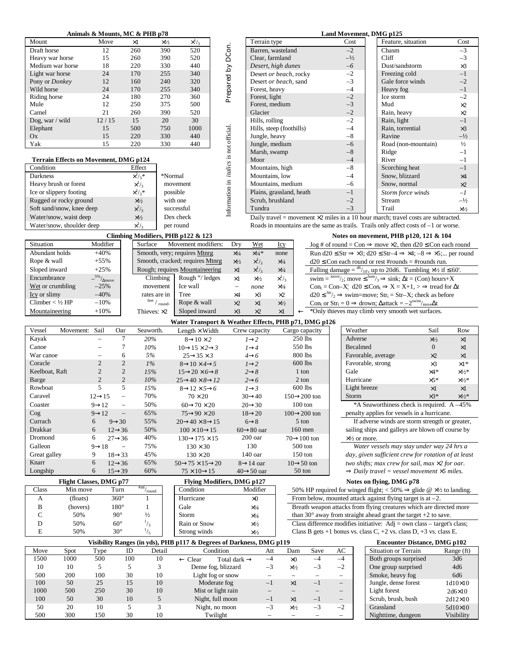|                                              | Animals & Mounts, MC & PHB p78          |                                                          |                              |                                                                |                                                |                          |                     |                           |        | Land Movement, DMG p125      |                                                                                                                               |                       |
|----------------------------------------------|-----------------------------------------|----------------------------------------------------------|------------------------------|----------------------------------------------------------------|------------------------------------------------|--------------------------|---------------------|---------------------------|--------|------------------------------|-------------------------------------------------------------------------------------------------------------------------------|-----------------------|
| Mount                                        | Move                                    | $\times 1$                                               | $\times\frac{1}{2}$          | $\times$ <sup>1</sup> / <sub>3</sub>                           |                                                | Terrain type             |                     |                           | Cost   |                              | Feature, situation                                                                                                            | Cost                  |
| Draft horse                                  | 12                                      | 260                                                      | 390                          | 520                                                            | Prepared by DCon.                              | Barren, wasteland        |                     |                           | $-2$   |                              | Chasm                                                                                                                         | $-3$                  |
| Heavy war horse                              | 15                                      | 260                                                      | 390                          | 520                                                            |                                                | Clear, farmland          |                     |                           | $-1/2$ | Cliff                        |                                                                                                                               | $-3$                  |
| Medium war horse                             | 18                                      | 220                                                      | 330                          | 440                                                            |                                                | Desert, high dunes       |                     |                           | $-6$   |                              | Dust/sandstorm                                                                                                                | $\times 3$            |
| Light war horse                              | 24                                      | 170                                                      | 255                          | 340                                                            |                                                | Desert or beach, rocky   |                     |                           | $-2$   |                              | Freezing cold                                                                                                                 | $-1$                  |
| Pony or Donkey                               | 12                                      | 160                                                      | 240                          | 320                                                            |                                                | Desert or beach, sand    |                     |                           | $-3$   |                              | Gale force winds                                                                                                              | $-2$                  |
| Wild horse                                   | 24                                      | 170                                                      | 255                          | 340                                                            |                                                | Forest, heavy            |                     |                           | $-4$   |                              | Heavy fog                                                                                                                     | $-1$                  |
| Riding horse                                 | 24                                      | 180                                                      | 270                          | 360                                                            |                                                | Forest, light            |                     |                           | $-2$   |                              | Ice storm                                                                                                                     | $-2$                  |
| Mule                                         | 12                                      | 250                                                      | 375                          | 500                                                            |                                                | Forest, medium           |                     |                           | $-3$   | Mud                          |                                                                                                                               | $\times 2$            |
| Camel                                        | 21                                      | 260                                                      | 390                          | 520                                                            |                                                | Glacier                  |                     |                           | $-2$   |                              | Rain, heavy                                                                                                                   | $\times 2$            |
| Dog, war / wild                              | 12/15                                   | 15                                                       | 20                           | 30                                                             |                                                | Hills, rolling           |                     |                           | $-2$   |                              | Rain, light                                                                                                                   | $-1$                  |
| Elephant                                     | 15                                      | 500                                                      | 750                          | 1000                                                           |                                                | Hills, steep (foothills) |                     |                           | $-4$   |                              | Rain, torrential                                                                                                              | $\times 3$            |
| Ox                                           | 15                                      | 220                                                      | 330                          | 440                                                            |                                                | Jungle, heavy            |                     |                           | $-8$   |                              | Ravine                                                                                                                        | $-1/2$                |
| Yak                                          | 15                                      | 220                                                      | 330                          | 440                                                            |                                                | Jungle, medium           |                     |                           | $-6$   |                              | Road (non-mountain)                                                                                                           | $\frac{1}{2}$         |
|                                              |                                         |                                                          |                              |                                                                | Information in <i>italics</i> is not official. | Marsh, swamp             |                     |                           | $-8$   |                              | Ridge                                                                                                                         | $-1$                  |
| <b>Terrain Effects on Movement, DMG p124</b> |                                         |                                                          |                              |                                                                |                                                | Moor                     |                     |                           | $-4$   |                              | River                                                                                                                         | $-1$                  |
| Condition                                    |                                         | Effect                                                   |                              |                                                                |                                                | Mountains, high          |                     |                           | $-8$   |                              | Scorching heat                                                                                                                | $-1$                  |
| Darkness                                     |                                         | $x^2/3$ *                                                | *Normal                      |                                                                |                                                | Mountains, low           |                     |                           | $-4$   |                              | Snow, blizzard                                                                                                                | $\times 4$            |
| Heavy brush or forest                        |                                         | $\times^1/_3$                                            |                              | movement                                                       |                                                | Mountains, medium        |                     |                           | $-6$   |                              | Snow, normal                                                                                                                  | $\times 2$            |
| Ice or slippery footing                      |                                         | $\times^2/\frac{1}{3}$ *                                 |                              | possible                                                       |                                                | Plains, grassland, heath |                     |                           | $-1$   |                              | Storm force winds                                                                                                             | $-l$                  |
| Rugged or rocky ground                       |                                         | $\times\frac{1}{2}$                                      |                              | with one                                                       |                                                | Scrub, brushland         |                     |                           | $-2$   |                              | Stream                                                                                                                        | $-1/2$                |
| Soft sand/snow, knee deep                    |                                         | $x^2/3$                                                  |                              | successful                                                     |                                                | Tundra                   |                     |                           | $-3$   | Trail                        |                                                                                                                               | $\times\frac{1}{2}$   |
| Water/snow, waist deep                       |                                         | $\times\frac{1}{2}$                                      |                              | Dex check                                                      |                                                |                          |                     |                           |        |                              | Daily travel = movement $\times 2$ miles in a 10 hour march; travel costs are subtracted.                                     |                       |
| Water/snow, shoulder deep                    |                                         | $\times^1/_3$                                            |                              | per round                                                      |                                                |                          |                     |                           |        |                              | Roads in mountains are the same as trails. Trails only affect costs of $-1$ or worse.                                         |                       |
|                                              |                                         |                                                          |                              | Climbing Modifiers, PHB p122 & 123                             |                                                |                          |                     |                           |        |                              | Notes on movement, PHB p120, 121 & 104                                                                                        |                       |
| Situation                                    | Modifier                                | Surface                                                  |                              | Movement modifiers:                                            | Dry                                            | Wet                      | Icy                 |                           |        |                              | $\log$ # of round = Con $\Rightarrow$ move $\times$ 2, then d20 $\leq$ Con each round                                         |                       |
| Abundant holds                               | $+40%$                                  |                                                          |                              | Smooth, very; requires Mtnrg                                   | $\times^{l}\!\!/_\!\!4$                        | $\times^{1\!}/\!4$ *     | none                |                           |        |                              | Run d20 $\leq$ Str $\Rightarrow$ $\times$ 3; d20 $\leq$ Str-4 $\Rightarrow$ $\times$ 4; -8 $\Rightarrow$ $\times$ 5; per roun |                       |
| Rope & wall                                  | $+55%$                                  |                                                          |                              | Smooth, cracked; requires Mtnrg                                | $\times\frac{1}{2}$                            | $\times^{1/3}$           | $\times\frac{1}{4}$ |                           |        |                              | $d20 \leq$ Con each round or rest #rounds = #rounds run.                                                                      |                       |
| Sloped inward                                | $+25%$                                  |                                                          |                              | Rough; requires Mountaineering                                 | $\times 1$                                     | $\times^{1/3}$           | $\times^{1/4}$      |                           |        |                              | Falling damage = $\frac{d6}{10}$ , up to 20d6. Tumbling ×1/2 if ≤ 60'.                                                        |                       |
| Encumbrance                                  | $- {^{5\%}_{}}/{_{\Delta \text{move}}}$ |                                                          | Climbing                     | Rough "/ ledges                                                | $\times 1$                                     | $\times\frac{1}{2}$      | $\times^{1/3}$      |                           |        |                              | swim = $\frac{\text{move}}{2}$ ; move $\leq \frac{\text{base}}{3}$ $\Rightarrow$ sink; $\Delta t = (Con)$ hours+X             |                       |
| Wet or crumbling                             | $-25%$                                  |                                                          | movement                     | Ice wall                                                       | $\equiv$                                       | none                     | $\times\frac{1}{4}$ |                           |        |                              | $Con_t = Con-X'_1$ d20 $\leq Con_t \Rightarrow X = X+1$ , $> \Rightarrow$ tread for $\Delta t$                                |                       |
| Icy or slimy                                 | $-40%$                                  |                                                          | rates are in                 | Tree                                                           | $\times 4$                                     | $\times$ 3               | $\times 2$          |                           |        |                              | $d20 \leq {str/2} \Rightarrow$ swim=move; Str <sub>t</sub> = Str-X; check as before                                           |                       |
| Climber $<$ 1/2 HP                           | $-10%$                                  |                                                          | feet $\big/$ $_{\rm round}.$ | Rope & wall                                                    | $\times 2$                                     | $\times 1$               | $\times\frac{1}{2}$ |                           |        |                              | Con <sub>t</sub> or $Str_t = 0 \implies$ drown; $\Delta$ attack = $-2^{swin}/_{move} \Delta t$                                |                       |
| Mountaineering                               | $+10%$                                  | Thieves: $\times 2$                                      |                              | Sloped inward                                                  | $\times 3$                                     | $\times 2$               | $\times 1$          |                           |        |                              | $\leftarrow$ *Only thieves may climb very smooth wet surfaces.                                                                |                       |
|                                              |                                         |                                                          |                              | Water Transport & Weather Effects, PHB p71, DMG p126           |                                                |                          |                     |                           |        |                              |                                                                                                                               |                       |
| Movement: Sail<br>Vessel                     |                                         | Oar<br>Seaworth.                                         |                              | Length $\times$ Width                                          |                                                | Crew capacity            |                     | Cargo capacity            |        | Weather                      | Sail                                                                                                                          | Row                   |
| Kayak                                        | $\equiv$                                | $\overline{7}$<br>20%                                    |                              | $8 \rightarrow 10 \times 2$                                    |                                                | $l\rightarrow 2$         |                     | 250 lbs                   |        | Adverse                      | $\times\frac{1}{2}$                                                                                                           | $\times 1$            |
| Canoe                                        | $\overline{\phantom{0}}$                | 7<br>10%                                                 |                              | $10 \rightarrow 15 \times 2 \rightarrow 3$                     |                                                | $l\rightarrow 4$         |                     | 550 lbs                   |        | Becalmed                     | $\mathbf{0}$                                                                                                                  | $\times 1$            |
| War canoe                                    | $\overline{\phantom{a}}$                | 5%<br>6                                                  |                              | $25 \rightarrow 35 \times 3$                                   |                                                | $4\rightarrow 6$         |                     | 800 lbs                   |        | Favorable, average           | $\times 2$                                                                                                                    | $\times 1$            |
| Coracle                                      | $\overline{2}$                          | $\mathbf{2}$<br>$1\%$                                    |                              | $8 \rightarrow 10 \times 4 \rightarrow 5$                      |                                                | $l\rightarrow 2$         |                     | 600 lbs                   |        | Favorable, strong            | $\times$ 3                                                                                                                    | $\times1*$            |
| Keelboat, Raft                               | $\mathbf{2}$                            | $\sqrt{2}$<br>15%                                        |                              | $15 \rightarrow 20 \times 6 \rightarrow 8$                     |                                                | $2\rightarrow 8$         |                     | 1 ton                     | Gale   |                              | $\times 4*$                                                                                                                   | $\times\frac{1}{2}$ * |
| Barge                                        | $\mathbf{2}$                            | $\sqrt{2}$<br>10%                                        |                              | $25 \rightarrow 40 \times 8 \rightarrow 12$                    |                                                | $2\rightarrow 6$         |                     | 2 ton                     |        | Hurricane                    | $\times 5*$                                                                                                                   | $\times\frac{1}{2}$ * |
| Rowboat                                      | 5                                       | 5<br>15%                                                 |                              | $8 \rightarrow 12 \times 5 \rightarrow 6$                      |                                                | $l\rightarrow 3$         |                     | 600 lbs                   |        | Light breeze                 | $\times 1$                                                                                                                    | $\times 1$            |
| Caravel                                      | $12 \rightarrow 15$                     | 70%<br>$\qquad \qquad -$                                 |                              | $70 \times 20$                                                 |                                                | $30 \rightarrow 40$      |                     | $150 \rightarrow 200$ ton | Storm  |                              | $\times 3^*$                                                                                                                  | $\times\frac{1}{2}$ * |
| Coaster                                      | $9 \rightarrow 12$                      | 50%<br>$\qquad \qquad -$                                 |                              | $60\rightarrow 70 \times 20$                                   |                                                | $20 \rightarrow 30$      |                     | $100 \text{ ton}$         |        |                              | *A Seaworthiness check is required. A -45%                                                                                    |                       |
| $\cos$                                       | $9 \rightarrow 12$                      | 65%<br>$\qquad \qquad -$                                 |                              | $75 \rightarrow 90 \times 20$                                  |                                                | $18 \rightarrow 20$      |                     | $100 \rightarrow 200$ ton |        |                              | penalty applies for vessels in a hurricane.                                                                                   |                       |
| Currach                                      | 6<br>$9 \rightarrow 30$                 | 55%                                                      |                              | $20 \rightarrow 40 \times 8 \rightarrow 15$                    |                                                | $6 \rightarrow 8$        |                     | 5 ton                     |        |                              | If adverse winds are storm strength or greater,                                                                               |                       |
| Drakkar                                      | 6<br>$12 \rightarrow 36$                | 50%                                                      |                              | $100 \times 10 \rightarrow 15$                                 |                                                | $60 \rightarrow 80$ oar  |                     | $160$ men                 |        |                              | sailing ships and galleys are blown off course by                                                                             |                       |
| Dromond                                      | 6<br>$27 \rightarrow 36$                | 40%                                                      |                              |                                                                |                                                | $200$ oar                |                     | $70 \rightarrow 100$ ton  |        | $\times\frac{1}{2}$ or more. |                                                                                                                               |                       |
| Galleon                                      | $9 \rightarrow 18$                      | 75%<br>$\overline{\phantom{a}}$                          |                              | $130 \rightarrow 175 \times 15$<br>$130 \times 30$             |                                                | 130                      |                     | $500 \text{ ton}$         |        |                              | Water vessels may stay under way 24 hrs a                                                                                     |                       |
| Great galley                                 | 9<br>$18 \rightarrow 33$                | 45%                                                      |                              |                                                                |                                                | 140 oar                  |                     | $150 \text{ ton}$         |        |                              | day, given sufficient crew for rotation of at leas                                                                            |                       |
| Knarr                                        | 6<br>$12 \rightarrow 36$                | 65%                                                      |                              | $130 \times 20$<br>$50\rightarrow 75 \times 15 \rightarrow 20$ |                                                | $8 \rightarrow 14$ oar   |                     | $10\rightarrow 50$ ton    |        |                              | two shifts; max crew for sail, max '2 for oar.                                                                                |                       |
| Longship                                     | 6<br>$15 \rightarrow 39$                | 60%                                                      |                              | $75 \times 10 {\rightarrow} 15$                                |                                                | $40 \rightarrow 50$ oar  |                     | 50 ton                    |        |                              | <b><math>\bf{P}</math></b> Daily travel = vessel movement $\hat{\ }$ miles.                                                   |                       |
|                                              |                                         |                                                          |                              |                                                                |                                                |                          |                     |                           |        |                              |                                                                                                                               |                       |
|                                              | <b>Flight Classes, DMG p77</b>          |                                                          |                              | <b>Flying Modifiers, DMG p127</b>                              |                                                |                          |                     |                           |        | Notes on flying, DMG p78     |                                                                                                                               |                       |
| Class<br>Min move                            | Turn                                    | $\overline{t^{\mathrm{Fatt}}}/\overline{\mathrm{round}}$ |                              | Condition                                                      |                                                | Modifier                 |                     |                           |        |                              | 50% HP required for winged flight; $<$ 50% $\Rightarrow$ glide @ $\times$ 1/2 to landing.                                     |                       |
| A<br>(floats)                                | $360^\circ$                             | 1                                                        |                              | Hurricane                                                      |                                                | $\times 0$               |                     |                           |        |                              | From below, mounted attack against flying target is at $-2$ .                                                                 |                       |

| & PHB p78      |                     |                |                          | Land Movement, DMG p125  |                   |                     |                     |  |  |  |  |  |  |
|----------------|---------------------|----------------|--------------------------|--------------------------|-------------------|---------------------|---------------------|--|--|--|--|--|--|
|                | $\times\frac{1}{2}$ | $\times^{1/3}$ |                          | Terrain type             | Cost              | Feature, situation  | Cost                |  |  |  |  |  |  |
| $\overline{0}$ | 390                 | 520            | DCon.                    | Barren, wasteland        | $-2$              | Chasm               | $-3$                |  |  |  |  |  |  |
| D              | 390                 | 520            |                          | Clear, farmland          | $-1/2$            | Cliff               | $-3$                |  |  |  |  |  |  |
|                | 330                 | 440            |                          | Desert, high dunes       | $-6$              | Dust/sandstorm      | $\times$ 3          |  |  |  |  |  |  |
| 0              | 255                 | 340            |                          | Desert or beach, rocky   | $-2$              | Freezing cold       | $-1$                |  |  |  |  |  |  |
| 0              | 240                 | 320            |                          | Desert or beach, sand    | $-3$              | Gale force winds    | $-2$                |  |  |  |  |  |  |
|                | 255                 | 340            | Prepared by              | Forest, heavy            | $-4$              | Heavy fog           | $-1$                |  |  |  |  |  |  |
| 0              | 270                 | 360            |                          | Forest, light            | $-2$              | Ice storm           | $-2$                |  |  |  |  |  |  |
|                | 375                 | 500            |                          | Forest, medium           | $-3$              | Mud                 | $\times 2$          |  |  |  |  |  |  |
|                | 390                 | 520            |                          | Glacier                  | $-2$              | Rain, heavy         | $\times 2$          |  |  |  |  |  |  |
|                | 20                  | 30             |                          | Hills, rolling           | $-2$              | Rain, light         | $-1$                |  |  |  |  |  |  |
|                | 750                 | 1000           |                          | Hills, steep (foothills) | $-4$              | Rain, torrential    | $\times$ 3          |  |  |  |  |  |  |
| 0              | 330                 | 440            |                          | Jungle, heavy            | $-8$              | Ravine              | $-\frac{1}{2}$      |  |  |  |  |  |  |
| 0              | 330                 | 440            |                          | Jungle, medium           | $-6$              | Road (non-mountain) | $\frac{1}{2}$       |  |  |  |  |  |  |
|                |                     |                |                          | Marsh, swamp             | $-8$              | Ridge               | $-1$                |  |  |  |  |  |  |
| 124د           |                     |                |                          | Moor                     | $-4$              | River               | $-1$                |  |  |  |  |  |  |
| fect           |                     |                | italics is not official. | Mountains, high          | $-8$              | Scorching heat      | $-1$                |  |  |  |  |  |  |
| $\sqrt{3}$ *   | *Normal             |                |                          | Mountains, low           | $-4$              | Snow, blizzard      | $\times 4$          |  |  |  |  |  |  |
| $^{1}/_{3}$    | movement            |                |                          | Mountains, medium        | $-6$              | Snow, normal        | $\times 2$          |  |  |  |  |  |  |
| $\sqrt{3}$ *   | possible            |                |                          | Plains, grassland, heath | Storm force winds | $-l$                |                     |  |  |  |  |  |  |
| $\frac{1}{2}$  | with one            |                |                          | Scrub, brushland         | $-2$              | Stream              | $-\frac{1}{2}$      |  |  |  |  |  |  |
| $^{2}/_{3}$    | successful          |                | rformation in            | Tundra                   | $-3$              | Trail               | $\times\frac{1}{2}$ |  |  |  |  |  |  |

| Situation          | Modifier                                               | Surface                                                                  | Movement modifiers:             | Dry                 | <u>Wet</u>                             | <u>Icy</u>          |              | $\log$ #   |
|--------------------|--------------------------------------------------------|--------------------------------------------------------------------------|---------------------------------|---------------------|----------------------------------------|---------------------|--------------|------------|
| Abundant holds     | $+40%$                                                 |                                                                          | Smooth, very; requires Mtnrg    | $\times\frac{1}{4}$ | $\times$ <sup>1</sup> / <sub>4</sub> * | none                |              | Run d      |
| Rope & wall        | $+55%$                                                 |                                                                          | Smooth, cracked; requires Mtnrg | $\times\frac{1}{2}$ | $x^{1/2}$                              | $\times\frac{1}{4}$ |              | $d20 \leq$ |
| Sloped inward      | $+25%$                                                 |                                                                          | Rough; requires Mountaineering  | $\times$ 1          | $\times^l/_3$                          | $\times\frac{1}{4}$ |              | Falling    |
| Encumbrance        | $-$ <sup>5%</sup> / <sub><math>\Delta</math>move</sub> | Climbing                                                                 | Rough $W$ ledges                | $\times 1$          | $\times\frac{1}{2}$                    | $\times^l/_3$       |              | swim:      |
| Wet or crumbling   | $-25%$                                                 | movement                                                                 | Ice wall                        | -                   | none                                   | $\times\frac{1}{4}$ |              | $Con_t =$  |
| Icy or slimy       | $-40%$                                                 | rates are in                                                             | Tree                            | $\times 4$          | $\times$ 3                             | $\times 2$          |              | $d20 \leq$ |
| Climber $<$ 1/2 HP | $-10%$                                                 | $\frac{\text{feet}}{\text{round}}$ / $\frac{\text{round}}{\text{round}}$ | Rope & wall                     | $\times 2$          | $\times$ 1                             | $\times\frac{1}{2}$ |              | $Cont$ o   |
| Mountaineering     | $+10%$                                                 | Thieves: $\times 2$                                                      | Sloped inward                   | $\times$ 3          | $\times 2$                             | $\times 1$          | $\leftarrow$ | *Only      |

|      |                       |               | Water Transport & Weather Effects, PHB p71, DMG p126 |  |
|------|-----------------------|---------------|------------------------------------------------------|--|
| rth. | Length $\times$ Width | Crew capacity | Cargo capacity                                       |  |

|  | Weather                                        | Sail                | Row                   |
|--|------------------------------------------------|---------------------|-----------------------|
|  | Adverse                                        | $\times\frac{1}{2}$ | $\times$ 1            |
|  | Becalmed                                       |                     | $\times 1$            |
|  | Favorable, average                             | $\times 2$          | $\times$ 1            |
|  | Favorable, strong                              | $\times$ 3          | $\times1*$            |
|  | Gale                                           | $\times 4*$         | $\times\frac{1}{2}$   |
|  | Hurricane                                      | $\times$ 5*         | $\times\frac{1}{2}$ * |
|  | Light breeze                                   | $\times 1$          | $\times$ 1            |
|  | Storm                                          | $\times$ 3*         | $\times\frac{1}{2}$   |
|  | *A Seaworthiness check is required. $A - 45\%$ |                     |                       |
|  | penalty applies for vessels in a hurricane     |                     |                       |

|       | FIIGHT CRESSES, DIVIUS DI I |               |                            | <b>FIVING MODIFIELS, DIMIT DIZI</b> |                     | NOTES ON HYMP, DIVIG DTO                                                                  |
|-------|-----------------------------|---------------|----------------------------|-------------------------------------|---------------------|-------------------------------------------------------------------------------------------|
| Class | Min move                    | Turn          | #att/<br>$\frac{}{}$ round | Condition                           | Modifier            | 50% HP required for winged flight; $<$ 50% $\Rightarrow$ glide @ $\times$ 1/2 to landing. |
|       | (floats)                    | $360^\circ$   |                            | Hurricane                           | $\times 0$          | From below, mounted attack against flying target is at $-2$ .                             |
|       | (hovers)                    | $180^{\circ}$ |                            | Gale                                | $\times\frac{1}{4}$ | Breath weapon attacks from flying creatures which are directed more                       |
|       | 50%                         | $90^{\circ}$  |                            | <b>Storm</b>                        | $\times\frac{1}{4}$ | than 30 $^{\circ}$ away from straight ahead grant the target +2 to save.                  |
|       | 50%                         | $60^{\circ}$  |                            | Rain or Snow                        | $\times\frac{1}{2}$ | Class difference modifies initiative: $Adj = own class - target's class$ ;                |
|       | 50%                         | $30^\circ$    |                            | Strong winds                        | $\times\frac{1}{2}$ | Class B gets +1 bonus vs. class C, +2 vs. class D, +3 vs. class E.                        |

# **Visibility Ranges (in yds), PHB p117 & Degrees of Darkness, DMG p119 Encounter Distance, DMG p102**

| Move | Spot | Type | ID  | Detail | Condition                                      | Att                      | Dam                 | Save | AC        | Situation or Terrain  | Range (ft)     |
|------|------|------|-----|--------|------------------------------------------------|--------------------------|---------------------|------|-----------|-----------------------|----------------|
| 1500 | 1000 | 500  | 100 | 10     | Total dark $\rightarrow$<br>$\leftarrow$ Clear |                          | $\times 0$          |      | $-4$      | Both groups surprised | 3d6            |
| 10   | 10   |      |     |        | Dense fog, blizzard                            |                          | $\times\frac{1}{2}$ | — 1  | $-\angle$ | One group surprised   | 4d6            |
| 500  | 200  | 100  | 30  | 10     | Light fog or snow                              |                          |                     |      |           | Smoke, heavy fog      | 6d6            |
| 100  | 50   | 25   | 15  | 10     | Moderate fog                                   | —                        | ×l                  | $-$  | $-$       | Jungle, dense forest  | $1d10\times10$ |
| 1000 | 500  | 250  | 30  | 10     | Mist or light rain                             |                          |                     |      |           | Light forest          | $2d6\times10$  |
| 100  | 50   | 30   | 10  |        | Night, full moon                               | $\overline{\phantom{0}}$ | ×І                  | $-$  |           | Scrub, brush, bush    | $2d12\times10$ |
| 50   | 20   | 10   |     |        | Night, no moon                                 |                          | $\times\frac{1}{2}$ | — ·  | $-2$      | Grassland             | $5d10\times10$ |
| 500  | 300  | 150  | 30  | 10     | Twilight                                       |                          |                     |      |           | Nighttime, dungeon    | Visibility     |

| <b>Situation or Terrain</b> | Range (ft)     |
|-----------------------------|----------------|
| Both groups surprised       | 3d6            |
| One group surprised         | 4d6            |
| Smoke, heavy fog            | 6d6            |
| Jungle, dense forest        | $1d10\times10$ |
| Light forest                | $2d6\times10$  |
| Scrub, brush, bush          | $2d12\times10$ |
| Grassland                   | 5d10×10        |
| Nighttime, dungeon          | Visibility     |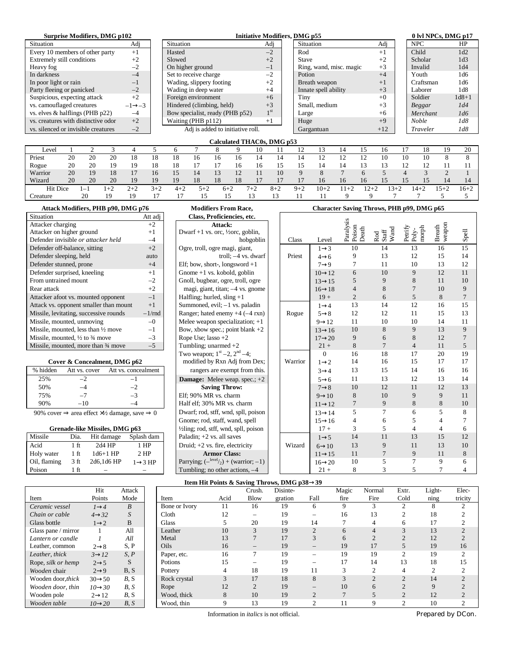## **Surprise Modifiers, DMG p102**

| Situation                           | Adj                 | Situation<br>A                   |
|-------------------------------------|---------------------|----------------------------------|
| Every 10 members of other party     | $+1$                | Hasted                           |
| Extremely still conditions          | $+2$                | Slowed<br>$^{+}$                 |
| Heavy fog                           | $-2$                | On higher ground                 |
| In darkness                         | $-4$                | Set to receive charge            |
| In poor light or rain               | $-1$                | Wading, slippery footing<br>$+$  |
| Party fleeing or panicked           | $-2$                | Wading in deep water<br>$^{+}$   |
| Suspicious, expecting attack        | $+2$                | Foreign environment<br>$^{+}$    |
| vs. camouflaged creatures           | $-1 \rightarrow -3$ | Hindered (climbing, held)<br>$+$ |
| vs. elves $&$ halflings (PHB p22)   | $-4$                | Bow specialist, ready (PHB p52)  |
| vs. creatures with distinctive odor | $+2$                | Waiting (PHB p112)               |
| vs. silenced or invisible creatures | $-2$                | Adj is added to initiative roll. |

| Surprise Modifiers, DMG p102        |                     |                                  |                 | <b>Initiative Modifiers, DMG p55</b> |       | 0 lvl NPCs, DMG p17 |           |
|-------------------------------------|---------------------|----------------------------------|-----------------|--------------------------------------|-------|---------------------|-----------|
| Situation                           | Adj                 | Situation                        | Adj             | Situation                            | Adj   | <b>NPC</b>          | HP        |
| Every 10 members of other party     | $+1$                | Hasted                           | $-2$            | Rod                                  | $+1$  | Child               | 1d2       |
| <b>Extremely still conditions</b>   | $+2$                | Slowed                           | $+2$            | Stave                                | $+2$  | Scholar             | 1d3       |
| Heavy fog                           | $-2$                | On higher ground                 | $-1$            | Ring, wand, misc. magic              | $+3$  | Invalid             | 1d4       |
| In darkness                         | $-4$                | Set to receive charge            | $-2$            | Potion                               | $+4$  | Youth               | 1d6       |
| In poor light or rain               | $-1$                | Wading, slippery footing         | $+2$            | Breath weapon                        | $+1$  | Craftsman           | 1d6       |
| Party fleeing or panicked           | $-2$                | Wading in deep water             | $+4$            | Innate spell ability                 | $+3$  | Laborer             | 1d8       |
| Suspicious, expecting attack        | $+2$                | Foreign environment              | $+6$            | Tiny                                 | $+0$  | Soldier             | $1d8 + 1$ |
| vs. camouflaged creatures           | $-1 \rightarrow -3$ | Hindered (climbing, held)        | $+3$            | Small, medium                        | $+3$  | Beggar              | 1d4       |
| vs. elves & halflings (PHB p22)     | $-4$                | Bow specialist, ready (PHB p52)  | 1 <sup>st</sup> | Large                                | $+6$  | Merchant            | 1d6       |
| vs. creatures with distinctive odor | $+2$                | Waiting (PHB p112)               | $+1$            | Huge                                 | $+9$  | <b>Noble</b>        | 1d8       |
| vs. silenced or invisible creatures | $-2$                | Adj is added to initiative roll. |                 | Gargantuan                           | $+12$ | Traveler            | 1d8       |

## **Calculated THAC0s, DMG p53**

| Level           |    |         |                          | 车   |       |         |       |          |                                  | 10    |         |             |                                 | 14             |                                | 16 |        | 18   | 19     | 20     |
|-----------------|----|---------|--------------------------|-----|-------|---------|-------|----------|----------------------------------|-------|---------|-------------|---------------------------------|----------------|--------------------------------|----|--------|------|--------|--------|
| Priest          | 20 | 20      | 20                       | 18  | 18    | 18      | 16    | 16       | 16                               | 14    | 14      | 14          | $\mathcal{L}$<br>$\overline{1}$ | ר ו<br>. .     | $\mathbf{1}$ $\mathbf{\Omega}$ | 10 |        | 10   |        |        |
| Rogue           | 20 | 20      | 1 Q                      | 1 Q | 18    | 18      |       |          | 16                               | 16    | ÷       | ı٠          |                                 | $\overline{4}$ |                                | 13 | . .    | ∸    |        |        |
| Warrior         | 20 | 19      | 18                       |     | 16    |         | 14    | ıк<br>ιJ | $\overline{1}$<br>$\overline{1}$ |       | 10      | $\mathbf Q$ |                                 |                | 6                              |    | 4      |      |        |        |
| Wizard          | 20 | 20      | 20                       | 19  | 19    | 19      | 18    | 18       | 18                               |       |         | 17          | 16                              | 16             | 16                             | 15 | 15     | 15   | 14     | 14     |
| <b>Hit Dice</b> |    | $i - i$ | $\overline{\phantom{0}}$ | 2+2 | $3+2$ | $4 + 2$ | $5+2$ | $6+2$    |                                  | $7+2$ | $8 + 2$ | $9+2$       | $10 + 7$                        | $\pm$          | $2 +$                          |    | $13+2$ | $4+$ | $15+2$ | $16+2$ |
| reature         |    | 20      | 1 Q                      | ıч  |       |         | 15    |          |                                  | -4    |         |             |                                 |                |                                |    |        |      |        |        |

# Situation **Att adj Class, Proficiencies, etc.** Attacker charging  $+2$  **Attack:**<br>Attacker on higher ground  $+1$  **Dwarf** +1 vs. orc, 1/20rc, g Attacker on higher ground Defender invisible *or attacker held*  $-4$  | ho Defender off-balance, sitting  $+2$  | Ogre, troll, ogre magi, gian Defender sleeping, held auto troll; –4 vs. dwarf Priest 4→ 6 9 13 12 15 14 Defender surprised, kneeling  $+1$ <br>From untrained mount  $-2$ From untrained mount  $\begin{array}{ccc} -2 \\ -2 \end{array}$  Gnoll, bugbear, ogre, troll, <br>Rear attack  $\begin{array}{ccc} -2 \\ -2 \end{array}$   $\begin{array}{ccc} \text{Gnoll, budget, right, t, it,} \\ \text{mag, giant, t, it,} \end{array}$ Attacker afoot vs. mounted opponent  $-1$ Attack vs. opponent smaller than mount +1 Missile, levitating, successive rounds  $-1/rnd$ Missile, mounted, unmoving  $-0$ Missile, mounted, less than  $\frac{1}{2}$  move  $-1$ <br>Missile, mounted,  $\frac{1}{2}$  to  $\frac{3}{4}$  move  $-3$ Missile, mounted, ½ to  $\frac{3}{4}$  move  $-3$ <br>Missile, mounted, more than  $\frac{3}{4}$  move  $-5$ Missile, mounted, more than  $\frac{3}{4}$  move

# **Cover & Concealment, DMG p62**

| % hidden | Att vs. cover | Att vs. concealment |
|----------|---------------|---------------------|
| 25%      |               | -1                  |
| 50%      |               |                     |
| 75%      | $-7$          | $-3$                |
| 90%      | $-10$         |                     |

## Grenade-like Missiles, DMG p63

| Missile      | Dia.           | Hit damage | Splash dam           |
|--------------|----------------|------------|----------------------|
| Acid         | 1 ft           | $2d4$ HP   | 1 HP                 |
| Holy water   | $1 \text{ ft}$ | $1d6+1$ HP | $2$ HP               |
| Oil, flaming | 3 ft           | 2d6,1d6 HP | $1 \rightarrow 3$ HP |
| Poison       | 1 ft           |            |                      |

| $max_{1}$ , giant, titali, $-4$ vs. griofile |
|----------------------------------------------|
| Halfling; hurled, sling $+1$                 |
| Summoned, evil; $-1$ vs. paladin             |
| Ranger; hated enemy $+4$ ( $-4$ rxn)         |
| Melee weapon specialization; +1              |
| Bow, xbow spec.; point blank $+2$            |
| Rope Use; lasso $+2$                         |
| Tumbling; unarmed $+2$                       |
| Two weapon; $1^{st} - 2$ , $2^{nd} - 4$ ;    |
| modified by Rxn Adj from Dex;                |
| rangers are exempt from this.                |
| <b>Damage:</b> Melee weap. spec.; $+2$       |
| <b>Saving Throw:</b>                         |
| Elf; 90% MR vs. charm                        |
| Half elf; 30% MR vs. charm                   |
| Dwarf; rod, stff, wnd, spll, poison          |
| Gnome; rod, staff, wand, spell               |
| 1/2ling; rod, stff, wnd, spll, poison        |

# **Attack Modifiers, PHB p90, DMG p76 Modifiers From Race, Character Saving Throws, PHB p99, DMG p65**

| $+2$<br>Attacker charging                    |                                                                               | Attack:                                      |                                   |       |                                                       | Paralysis           |                                                                          |                           |                         |       |                |                |        |  |
|----------------------------------------------|-------------------------------------------------------------------------------|----------------------------------------------|-----------------------------------|-------|-------------------------------------------------------|---------------------|--------------------------------------------------------------------------|---------------------------|-------------------------|-------|----------------|----------------|--------|--|
| Attacker on higher ground<br>$+1$            |                                                                               | Dwarf +1 vs. orc, $\frac{1}{2}$ orc, goblin, |                                   |       |                                                       | Poison<br>Death     | $\begin{array}{l} \text{Rod} \\ \text{Staff} \\ \text{Wand} \end{array}$ | Petrify<br>Poly-<br>morph | weapon<br><b>Breath</b> | Spell |                |                |        |  |
| $-4$<br>Defender invisible or attacker held  |                                                                               | hobgoblin                                    |                                   | Class | Level                                                 |                     |                                                                          |                           |                         |       |                |                |        |  |
| Defender off-balance, sitting                |                                                                               |                                              | $+2$                              |       | Ogre, troll, ogre magi, giant,                        |                     |                                                                          | $1 \rightarrow 3$         | 10                      | 14    | 13             | 16             | 15     |  |
| Defender sleeping, held                      |                                                                               |                                              | auto                              |       | troll: $-4$ vs. dwarf                                 |                     | Priest                                                                   | $4 \rightarrow 6$         | 9                       | 13    | 12             | 15             | 14     |  |
| Defender stunned, prone                      |                                                                               |                                              | $+4$                              |       | Elf; bow, short-, longsword $+1$                      |                     |                                                                          | $7 \rightarrow 9$         | 7                       | 11    | 10             | 13             | 12     |  |
| Defender surprised, kneeling                 |                                                                               |                                              | $+1$                              |       | Gnome $+1$ vs. kobold, goblin                         |                     |                                                                          | $10 \rightarrow 12$       | 6                       | 10    | 9              | 12             | 11     |  |
| From untrained mount                         |                                                                               |                                              | $-2$                              |       | Gnoll, bugbear, ogre, troll, ogre                     |                     |                                                                          | $13 \rightarrow 15$       | 5                       | 9     | 8              | 11             | 10     |  |
| Rear attack                                  |                                                                               |                                              | $+2$                              |       | magi, giant, titan; $-4$ vs. gnome                    |                     |                                                                          | $16 \rightarrow 18$       | $\overline{4}$          | 8     | 7              | 10             | 9      |  |
|                                              | Attacker afoot vs. mounted opponent                                           |                                              | $-1$                              |       | Halfling; hurled, sling $+1$                          |                     |                                                                          | $19+$                     | $\overline{2}$          | 6     | 5              | 8              | $\tau$ |  |
|                                              | Attack vs. opponent smaller than mount                                        |                                              | $+1$                              |       | Summoned, evil; $-1$ vs. paladin                      |                     |                                                                          | $1\rightarrow 4$          | 13                      | 14    | 12             | 16             | 15     |  |
|                                              | Missile, levitating, successive rounds                                        |                                              | $-1/rnd$                          |       | Ranger; hated enemy $+4$ ( $-4$ rxn)                  |                     | Rogue                                                                    | $5 \rightarrow 8$         | 12                      | 12    | 11             | 15             | 13     |  |
| Missile, mounted, unmoving<br>$-0$           |                                                                               |                                              | Melee weapon specialization; $+1$ |       |                                                       | $9 \rightarrow 12$  | 11                                                                       | 10                        | 10                      | 14    | 11             |                |        |  |
| Missile, mounted, less than 1/2 move<br>$-1$ |                                                                               |                                              | Bow, xbow spec.; point blank $+2$ |       |                                                       | $13 \rightarrow 16$ | 10                                                                       | 8                         | 9                       | 13    | 9              |                |        |  |
| $-3$<br>Missile, mounted, 1/2 to 3/4 move    |                                                                               |                                              | Rope Use; $lasso + 2$             |       |                                                       | $17 \rightarrow 20$ | 9                                                                        | 6                         | 8                       | 12    |                |                |        |  |
|                                              | Missile, mounted, more than 3/4 move                                          |                                              | $-5$                              |       | Tumbling; unarmed $+2$                                |                     |                                                                          | $21 +$                    | 8                       | 7     | $\overline{4}$ | 11             | 5      |  |
|                                              |                                                                               |                                              |                                   |       | Two weapon; $1^{st} - 2$ , $2^{nd} - 4$ ;             |                     |                                                                          | $\overline{0}$            | 16                      | 18    | 17             | 20             | 19     |  |
|                                              | Cover & Concealment, DMG p62                                                  |                                              |                                   |       | modified by Rxn Adj from Dex;                         |                     | Warrior                                                                  | $1\rightarrow 2$          | 14                      | 16    | 15             | 17             | 17     |  |
| % hidden                                     | Att vs. cover                                                                 | Att vs. concealment                          |                                   |       | rangers are exempt from this.                         |                     |                                                                          | $3\rightarrow 4$          | 13                      | 15    | 14             | 16             | 16     |  |
| 25%                                          | $-2$                                                                          | $-1$                                         |                                   |       | <b>Damage:</b> Melee weap. spec.; $+2$                |                     |                                                                          | $5 \rightarrow 6$         | 11                      | 13    | 12             | 13             | 14     |  |
| 50%                                          | $-4$                                                                          | $-2$                                         |                                   |       | <b>Saving Throw:</b>                                  |                     |                                                                          | $7 \rightarrow 8$         | 10                      | 12    | 11             | 12             | 13     |  |
| 75%                                          | $-7$                                                                          | $-3$                                         |                                   |       | Elf; 90% MR vs. charm                                 |                     |                                                                          | $9 \rightarrow 10$        | 8                       | 10    | 9              | 9              | 11     |  |
| 90%                                          | $-10$                                                                         | $-4$                                         |                                   |       | Half elf; 30% MR vs. charm                            |                     |                                                                          | $11 \rightarrow 12$       | $\tau$                  | 9     | 8              | 8              | 10     |  |
|                                              | 90% cover $\Rightarrow$ area effect $\times$ 1/2 damage, save $\Rightarrow$ 0 |                                              |                                   |       | Dwarf; rod, stff, wnd, spll, poison                   |                     |                                                                          | $13 \rightarrow 14$       | 5                       | 7     | 6              | 5              | 8      |  |
|                                              |                                                                               |                                              |                                   |       | Gnome; rod, staff, wand, spell                        |                     |                                                                          | $15 \rightarrow 16$       | 4                       | 6     | 5              | 4              |        |  |
|                                              | Grenade-like Missiles, DMG p63                                                |                                              |                                   |       | 1/2ling; rod, stff, wnd, spll, poison                 |                     |                                                                          | $17+$                     | 3                       | 5     | 4              | $\overline{4}$ | 6      |  |
| Missile                                      | Dia.<br>Hit damage                                                            |                                              | Splash dam                        |       | Paladin; $+2$ vs. all saves                           |                     |                                                                          | $1 \rightarrow 5$         | 14                      | 11    | 13             | 15             | 12     |  |
| Acid                                         | 2d4 HP<br>$1$ ft                                                              |                                              | $1$ HP                            |       | Druid; +2 vs. fire, electricity                       |                     | Wizard                                                                   | $6 \rightarrow 10$        | 13                      | 9     | 11             | 13             | 10     |  |
| Holy water                                   | $1$ ft<br>$1d6+1$ HP                                                          |                                              | $2$ HP                            |       | <b>Armor Class:</b>                                   |                     |                                                                          | $11 \rightarrow 15$       | 11                      | 7     | 9              | 11             | 8      |  |
| Oil, flaming                                 | 3 <sub>ft</sub><br>2d6,1d6 HP                                                 |                                              | $1 \rightarrow 3$ HP              |       | Parrying; $(-{}^{\text{level}}/_{2})$ + (warrior; -1) |                     |                                                                          | $16 \rightarrow 20$       | 10                      | 5     | 7              | 9              | 6      |  |
| Poison                                       | $1$ ft                                                                        |                                              |                                   |       | Tumbling; no other actions, $-4$                      |                     |                                                                          | $21 +$                    | 8                       | 3     | 5              |                |        |  |

## **Item Hit Points & Saving Throws, DMG p38**→ **39**

|                     | Hit                 | Attack |               |      | Crush.      | Disinte- |          | Magic        | Normal | Extr. | Light- | Elec-   |
|---------------------|---------------------|--------|---------------|------|-------------|----------|----------|--------------|--------|-------|--------|---------|
| Item                | Points              | Mode   | Item          | Acid | <b>Blow</b> | gration  | Fall     | fire         | Fire   | Cold  | ning   | tricity |
| Ceramic vessel      | 1@4                 | B      | Bone or Ivory | 11   | 16          | 19       | 6        | 9            |        |       |        | $\sim$  |
| Chain or cable      | 4® 32               | S      | Cloth         | 12   |             | 19       |          | 16           | 13     |       | 18     |         |
| Glass bottle        | $1\rightarrow 2$    | B      | Glass         |      | 20          | 19       | 14       |              |        |       | 17     |         |
| Glass pane / mirror |                     | All    | Leather       | 10   |             | 19       |          | 6            |        |       | 13     |         |
| Lantern or candle   |                     | All    | Metal         | 13   |             | 17       |          | <sub>b</sub> |        |       | 12     |         |
| Leather, common     | $2\rightarrow 8$    | S, P   | Oils          | 16   |             | 19       |          | 19           | 17     |       | 19     | 16      |
| Leather, thick      | 3® 12               | S, P   | Paper, etc.   | 16   |             | 19       | -        | 19           | 19     | ◠     | 19     |         |
| Rope, silk or hemp  | $2 \rightarrow 5$   | S      | Potions       | 15   |             | 19       |          | 17           | 14     | 13    | 18     | 15      |
| Wooden chair        | $2\rightarrow 9$    | B, S   | Pottery       |      | 18          | 19       |          |              | ◠      |       | ◠      |         |
| Wooden door, thick  | $30 \rightarrow 50$ | B, S   | Rock crystal  |      | 17          | 18       | 8        |              |        |       | 14     |         |
| Wooden door, thin   | 10@30               | B, S   | Rope          | 12   |             | 19       |          | 10           |        |       | Q      |         |
| Wooden pole         | $2 \rightarrow 12$  | B, S   | Wood, thick   | 8    | 10          | 19       | $\Omega$ |              |        |       | 12     |         |
| Wooden table        | 10@20               | B, S   | Wood, thin    |      | 13          | 19       | ◠        | 11           |        |       | 10     |         |

Information in *italics* is not official. Prepared by DCon.

|                     | Hit                 | Attack |
|---------------------|---------------------|--------|
| <b>Item</b>         | Points              | Mode   |
| Ceramic vessel      | 1@4                 | R      |
| Chain or cable      | 4 <sup>®</sup> 32   | S      |
| Glass bottle        | $1\rightarrow 2$    | B      |
| Glass pane / mirror | 1                   | All    |
| Lantern or candle   | 1                   | All    |
| Leather, common     | $2\rightarrow 8$    | S, P   |
| Leather, thick      | 3® 12               | S, P   |
| Rope, silk or hemp  | $2 \rightarrow 5$   | S      |
| Wooden chair        | $2\rightarrow 9$    | B, S   |
| Wooden door, thick  | $30 \rightarrow 50$ | B, S   |
| Wooden door, thin   | 10@30               | B, S   |
| Wooden pole         | $2 \rightarrow 12$  | B, S   |
| Wooden table        | 100220              | B, S   |

| <b>cholar</b>          | 1d3              |
|------------------------|------------------|
| nvalid                 | 1d4              |
| ∕outh                  | 1d6              |
| `raftsman              | 1d6              |
| aborer                 | 1d8              |
| <b>Soldier</b>         | $1d8 + 1$        |
| eggar                  | 1d4              |
| <i><b>Aerchant</b></i> | 1 d <sub>6</sub> |
| loble                  | 1d8              |
| raveler                | 1d8              |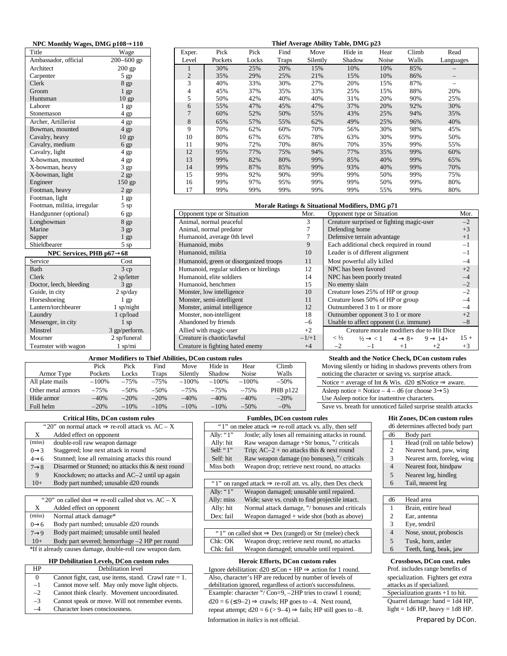| NPC Monthly Wages, DMG p108 $\rightarrow$ 110 |                 | Thief Average Ability Table, DMG p23 |                         |                                         |       |       |                |                                                 |                                           |                    |       |                     |        |
|-----------------------------------------------|-----------------|--------------------------------------|-------------------------|-----------------------------------------|-------|-------|----------------|-------------------------------------------------|-------------------------------------------|--------------------|-------|---------------------|--------|
| Title                                         | Wage            |                                      | Exper.                  | Pick                                    | Pick  | Find  | Move           | Hide in                                         |                                           | Hear               | Climb | Read                |        |
| Ambassador, official                          | $200 - 600$ gp  |                                      | Level                   | Pockets                                 | Locks | Traps | Silently       | Shadow                                          |                                           | Noise              | Walls | Languages           |        |
| Architect                                     | 200 gp          |                                      | $\mathbf{1}$            | 30%                                     | 25%   | 20%   | 15%            | 10%                                             |                                           | 10%                | 85%   |                     |        |
| Carpenter                                     | $5$ gp          |                                      | $\overline{c}$          | 35%                                     | 29%   | 25%   | 21%            | 15%                                             |                                           | 10%                | 86%   | $\qquad \qquad -$   |        |
| Clerk                                         | 8 gp            |                                      | 3                       | 40%                                     | 33%   | 30%   | 27%            | 20%                                             |                                           | 15%                | 87%   | $\equiv$            |        |
| Groom                                         | $1$ gp          |                                      | 4                       | 45%                                     | 37%   | 35%   | 33%            | 25%                                             |                                           | 15%                | 88%   | 20%                 |        |
| Huntsman                                      | $10$ gp         |                                      | 5                       | 50%                                     | 42%   | 40%   | 40%            | 31%                                             |                                           | 20%                | 90%   | 25%                 |        |
| Laborer                                       | 1 <sub>gp</sub> |                                      | 6                       | 55%                                     | 47%   | 45%   | 47%            | 37%                                             |                                           | 20%                | 92%   | 30%                 |        |
| Stonemason                                    | $4$ gp          |                                      | $\overline{7}$          | 60%                                     | 52%   | 50%   | 55%            | 43%                                             |                                           | 25%                | 94%   | 35%                 |        |
| Archer, Artillerist                           | $4$ gp          |                                      | 8                       | 65%                                     | 57%   | 55%   | 62%            | 49%                                             |                                           | 25%                | 96%   | 40%                 |        |
| Bowman, mounted                               | $4$ gp          |                                      | 9                       | 70%                                     | 62%   | 60%   | 70%            | 56%                                             |                                           | 30%                | 98%   | 45%                 |        |
| Cavalry, heavy                                | $10$ gp         |                                      | 10                      | 80%                                     | 67%   | 65%   | 78%            | 63%                                             |                                           | 30%                | 99%   | 50%                 |        |
| Cavalry, medium                               | 6 gp            |                                      | 11                      | 90%                                     | 72%   | 70%   | 86%            | 70%                                             |                                           | 35%                | 99%   | 55%                 |        |
| Cavalry, light                                | 4 gp            |                                      | 12                      | 95%                                     | 77%   | 75%   | 94%            | 77%                                             |                                           | 35%                | 99%   | 60%                 |        |
| X-bowman, mounted                             | 4 gp            |                                      | 13                      | 99%                                     | 82%   | 80%   | 99%            | 85%                                             |                                           | 40%                | 99%   | 65%                 |        |
| X-bowman, heavy                               | $3$ gp          |                                      | 14<br>85%<br>99%<br>87% |                                         |       |       | 99%            | 93%                                             |                                           | 40%                | 99%   | 70%                 |        |
| X-bowman, light                               | $2$ gp          |                                      | 90%<br>15<br>99%<br>92% |                                         |       |       | 99%            | 99%                                             |                                           | 50%                | 99%   | 75%                 |        |
| Engineer                                      | 150 gp          |                                      | 16                      | 99%                                     | 97%   | 95%   | 99%            | 99%                                             |                                           | 50%                | 99%   | 80%                 |        |
| Footman, heavy                                | $2$ gp          |                                      | 17                      | 99%                                     | 99%   | 99%   | 99%            | 99%                                             |                                           | 55%                | 99%   | 80%                 |        |
| Footman, light                                | 1 <sub>gp</sub> |                                      |                         |                                         |       |       |                |                                                 |                                           |                    |       |                     |        |
| Footman, militia, irregular                   | $5$ sp          |                                      |                         |                                         |       |       |                | Morale Ratings & Situational Modifiers, DMG p71 |                                           |                    |       |                     |        |
| Handgunner (optional)                         | 6 gp            |                                      |                         | Opponent type or Situation              |       |       | Mor.           |                                                 | Opponent type or Situation                |                    |       |                     | Mor.   |
| Longbowman                                    | 8 <sub>gp</sub> |                                      |                         | Animal, normal peaceful                 |       |       | 3              |                                                 | Creature surprised or fighting magic-user |                    |       |                     | $-2$   |
| Marine                                        | $3$ gp          |                                      |                         | Animal, normal predator                 |       |       | $\overline{7}$ | Defending home                                  |                                           |                    |       |                     | $+3$   |
| Sapper                                        | $1$ gp          |                                      |                         | Humanoid, average 0th level             |       |       | $\overline{7}$ | Defensive terrain advantage                     |                                           |                    |       |                     | $+1$   |
| Shieldbearer                                  | 5 sp            |                                      | Humanoid, mobs          |                                         |       |       | 9              |                                                 | Each additional check required in round   |                    |       |                     | $-1$   |
| NPC Services, PHB $p67 \rightarrow 68$        |                 |                                      | Humanoid, militia       |                                         |       |       | 10             |                                                 | Leader is of different alignment          |                    |       |                     | $-1$   |
| Service                                       | Cost            |                                      |                         | Humanoid, green or disorganized troops  |       |       | 11             |                                                 | Most powerful ally killed                 |                    |       |                     | $-4$   |
| Bath                                          | 3cp             |                                      |                         | Humanoid, regular soldiers or hirelings |       |       | 12             |                                                 | NPC has been favored                      |                    |       |                     | $+2$   |
| Clerk                                         | 2 sp/letter     |                                      |                         | Humanoid, elite soldiers                |       |       | 14             |                                                 | NPC has been poorly treated               |                    |       |                     | $-4$   |
| Doctor, leech, bleeding                       | $3$ gp          |                                      |                         | Humanoid, henchmen                      |       |       | 15             | No enemy slain                                  |                                           |                    |       |                     | $-2$   |
| Guide, in city                                | $2$ sp/day      |                                      |                         | Monster, low intelligence               |       |       | 10             |                                                 | Creature loses 25% of HP or group         |                    |       |                     | $-2$   |
| Horseshoeing                                  | $1$ gp          |                                      |                         | Monster, semi-intelligent               |       |       | 11             |                                                 | Creature loses 50% of HP or group         |                    |       |                     | $-4$   |
| Lantern/torchbearer                           | $1$ sp/night    |                                      |                         | Monster, animal intelligence            |       |       | 12             |                                                 | Outnumbered 3 to 1 or more                |                    |       |                     | $-4$   |
| Laundry                                       | 1 cp/load       |                                      |                         | Monster, non-intelligent                |       |       | 18             |                                                 | Outnumber opponent 3 to 1 or more         |                    |       |                     | $+2$   |
| Messenger, in city                            | $1$ sp          |                                      |                         | Abandoned by friends                    |       |       | $-6$           |                                                 | Unable to affect opponent (i.e. immune)   |                    |       |                     | $-8$   |
| Minstrel                                      | 3 gp/perform.   |                                      |                         | Allied with magic-user                  |       |       | $+2$           |                                                 | Creature morale modifiers due to Hit Dice |                    |       |                     |        |
| Mourner                                       | 2 sp/funeral    |                                      |                         | Creature is chaotic/lawful              |       |       | $-1/+1$        | $<\frac{1}{2}$                                  | $\frac{1}{2} \rightarrow \frac{1}{2}$     | $4 \rightarrow 8+$ |       | $9 \rightarrow 14+$ | $15 +$ |
| Teamster with wagon                           | $1$ sp/mi       |                                      |                         | Creature is fighting hated enemy        |       |       | $+4$           | $-2$                                            | $-1$                                      | $+1$               |       | $+2$                | $+3$   |

## **Armor Modifiers to Thief Abilities, DCon custom rules Stealth and the Notice Check, DCon custom rules**

|                    |         |         |         |          | лгиня этошистэ го типет хошигэж гэсэн сазгонгтансэ |         |          |
|--------------------|---------|---------|---------|----------|----------------------------------------------------|---------|----------|
|                    | Pick    | Pick    | Find    | Move     | Hide in                                            | Hear    | Climb    |
| Armor Type         | Pockets | Locks   | Traps   | Silently | Shadow                                             | Noise   | Walls    |
| All plate mails    | $-100%$ | $-75%$  | $-75%$  | $-100%$  | $-100%$                                            | $-100%$ | $-50%$   |
| Other metal armors | $-75%$  | $-50\%$ | $-50\%$ | $-7.5%$  | $-75%$                                             | $-7.5%$ | PHB p122 |
| Hide armor         | $-40%$  | $-20%$  | $-20%$  | $-40%$   | $-40%$                                             | $-40%$  | $-20%$   |
| Full helm          | $-20%$  | $-10%$  | $-10%$  | $-10%$   | $-10%$                                             | $-50%$  | $-0\%$   |

| Stealth and the Notice Check, DCon custom rules           |  |
|-----------------------------------------------------------|--|
| Moving silently or hiding in shadows prevents others from |  |

noticing the character or saving vs. surprise attack. Notice = average of Int & Wis. d20 ≤ Notice  $\Rightarrow$  aware. Asleep notice = Notice –  $4 - d6$  (or choose  $3 \rightarrow 5$ ) Use Asleep notice for inattentive characters. Save vs. breath for unnoticed failed surprise stealth attacks

## **Critical Hits, DCon custom rules Fumbles, DCon custom rules Hit Zones, DCon custom rules**

| then self     | d6 determines affected body part |                            |  |  |  |  |
|---------------|----------------------------------|----------------------------|--|--|--|--|
| ks in round.  | d6                               | Body part                  |  |  |  |  |
| / criticals   |                                  | Head (roll on table below) |  |  |  |  |
| t round       | 2                                | Nearest hand, paw, wing    |  |  |  |  |
| "/ criticals  | 3                                | Nearest arm, foreleg, wing |  |  |  |  |
| no attacks    | 4                                | Nearest foot, hindpaw      |  |  |  |  |
|               | 5                                | Nearest leg, hindleg       |  |  |  |  |
| Dex check     | 6                                | Tail, nearest leg          |  |  |  |  |
| epaired.      |                                  |                            |  |  |  |  |
| ile intact.   | d6                               | Head area                  |  |  |  |  |
| and criticals |                                  | Brain, entire head         |  |  |  |  |

| na projectile intact.   | $\omega$       | nead area              |
|-------------------------|----------------|------------------------|
| / bonuses and criticals |                | Brain, entire head     |
| shot (both as above)    | 2              | Ear, antenna           |
|                         | 3              | Eye, tendril           |
| or Str (melee) check    | $\overline{4}$ | Nose, snout, proboscis |
| xt round, no attacks    | 5              | Tusk, horn, antler     |
| ble until repaired.     | 6              | Teeth, fang, beak, jaw |
|                         |                |                        |

Ignore debilitation:  $d20 \leq Con + HP \Rightarrow$  action for 1 round. Prof. includes range benefits of Also, character's HP are reduced by number of levels of specialization. Fighters get extra

repeat attempt;  $d20 = 6$  (> 9–4)  $\Rightarrow$  fails; HP still goes to –8. light = 1d6 HP, heavy = 1d8 HP.

Information in *italics* is not official. Prepared by DCon.

| $0\rightarrow 6$  | Body part numbed; unusable d20 rounds   |               |
|-------------------|-----------------------------------------|---------------|
| $7 \rightarrow 9$ | Body part maimed; unusable until healed | " $1$ " on ca |
|                   |                                         |               |

\*If it already causes damage, double-roll raw weapon dam. Chk: fail Weapon damaged; unusable until repaired.

# **HP Debilitation Levels, DCon custom rules Heroic Efforts, DCon custom rules Crossbows, DCon cust. rules**

| HP   | Debilitation level                                       | Ignore debilitation: $d20 \leq Con + HP \Rightarrow$ action for 1 round.    | Prof. includes range benefits of   |
|------|----------------------------------------------------------|-----------------------------------------------------------------------------|------------------------------------|
|      | Cannot fight, cast, use items, stand. Crawl rate $= 1$ . | Also, character's HP are reduced by number of levels of                     | specialization. Fighters get ex-   |
|      | Cannot move self. May only move light objects.           | debilitation ignored, regardless of action's successfulness.                | attacks as if specialized.         |
| $-2$ | Cannot think clearly. Movement uncoordinated.            | Example: character $\sqrt[w]{\text{Con}}=9, -2HP$ tries to crawl 1 round;   | Specialization grants $+1$ to hit. |
|      | Cannot speak or move. Will not remember events.          | $d20 = 6 \le 9-2$ $\Rightarrow$ crawls; HP goes to -4. Next round,          | Quarrel damage: hand $= 1d4$ H     |
|      | Character loses consciousness.                           | repeat attempt; $d20 = 6$ (> 9-4) $\Rightarrow$ fails; HP still goes to -8. | light = $1d6$ HP, heavy = $1d8$ F  |

|                   | "20" on normal attack $\Rightarrow$ re-roll attack vs. AC – X    |               | "1" on melee attack $\Rightarrow$ re-roll attack vs. ally, then self     |
|-------------------|------------------------------------------------------------------|---------------|--------------------------------------------------------------------------|
| X                 | Added effect on opponent                                         | Ally: " $1$ " | Jostle; ally loses all remaining attacks in round.                       |
| (miss)            | double-roll raw weapon damage                                    | Ally: hit     | Raw weapon damage +Str bonus, $\frac{w}{x}$ criticals                    |
| $0 \rightarrow 3$ | Staggered; lose next attack in round                             | Self: " $1$ " | Trip; $AC-2 + no$ attacks this & next round                              |
| $4\rightarrow 6$  | Stunned; lose all remaining attacks this round                   | Self: hit     | Raw weapon damage (no bonuses), "/ criticals                             |
| $7 \rightarrow 8$ | Disarmed or Stunned; no attacks this & next round                | Miss both     | Weapon drop; retrieve next round, no attacks                             |
| 9                 | Knockdown; no attacks and AC-2 until up again                    |               |                                                                          |
| $10+$             | Body part numbed; unusable d20 rounds                            |               | "1" on ranged attack $\Rightarrow$ re-roll att. vs. ally, then Dex check |
|                   |                                                                  | Ally: " $1$ " | Weapon damaged; unusable until repaired.                                 |
|                   | "20" on called shot $\Rightarrow$ re-roll called shot vs. AC – X | Ally: miss    | Wide; save vs. crush to find projectile intact.                          |
| X                 | Added effect on opponent                                         | Ally: hit     | Normal attack damage, "/ bonuses and criticals                           |
| (miss)            | Normal attack damage*                                            | Dex: fail     | Weapon damaged $+$ wide shot (both as above)                             |
| $0\rightarrow 6$  | Body part numbed; unusable d20 rounds                            |               |                                                                          |
| $7 \rightarrow 9$ | Body part maimed; unusable until healed                          |               | "1" on called shot $\Rightarrow$ Dex (ranged) or Str (melee) check       |
| $10+$             | Body part severed; hemorrhage $-2$ HP per round                  | Chk:OK        | Weapon drop; retrieve next round, no attacks                             |
|                   |                                                                  |               |                                                                          |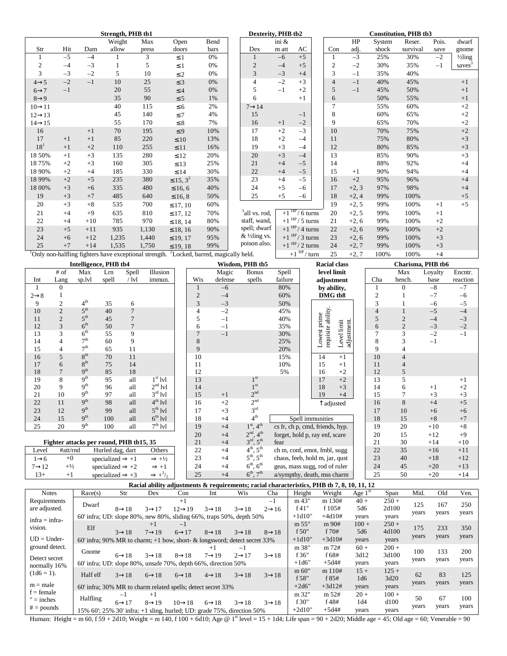|                     |      | Dexterity, PHB tb2 |                                                       |       |                                              |      | <b>Constitution, PHB tb3</b> |       |                              |  |                |         |        |          |       |                      |
|---------------------|------|--------------------|-------------------------------------------------------|-------|----------------------------------------------|------|------------------------------|-------|------------------------------|--|----------------|---------|--------|----------|-------|----------------------|
|                     |      |                    | Weight                                                | Max   | Open                                         | Bend |                              | ini & |                              |  |                | HP      | System | Reser.   | Pois. | dwarf                |
| Str                 | Hit  | Dam                | allow                                                 | press | doors                                        | bars | Dex                          | m att | AC                           |  | Con            | adj.    | shock  | survival | save  | gnome                |
| 1                   | $-5$ | $-4$               | 1                                                     | 3     | $\leq$ 1                                     | 0%   |                              | $-6$  | $+5$                         |  |                | $-3$    | 25%    | 30%      | $-2$  | 1/ <sub>2</sub> ling |
| 2                   | $-4$ | $-3$               |                                                       | 5     | $\leq 1$                                     | 0%   | $\overline{c}$               | $-4$  | $+5$                         |  | 2              | $-2$    | 30%    | 35%      | $-1$  | saves <sup>3</sup>   |
| 3                   | $-3$ | $-2$               | 5                                                     | 10    | $\leq$ 2                                     | 0%   | 3                            | $-3$  | $+4$                         |  | 3              | $-1$    | 35%    | 40%      |       |                      |
| $4 \rightarrow 5$   | $-2$ | $-1$               | 10                                                    | 25    | $\leq$ 3                                     | 0%   | 4                            | $-2$  | $+3$                         |  | $\overline{4}$ | $-1$    | 40%    | 45%      |       | $+1$                 |
| $6 \rightarrow 7$   | $-1$ |                    | 20                                                    | 55    | $\leq 4$                                     | 0%   | 5                            | $-1$  | $+2$                         |  | 5              | $-1$    | 45%    | 50%      |       | $+1$                 |
| $8 \rightarrow 9$   |      |                    | 35                                                    | 90    | $\leq$ 5                                     | 1%   | 6                            |       | $+1$                         |  | 6              |         | 50%    | 55%      |       | $+1$                 |
| $10 \rightarrow 11$ |      |                    | 40                                                    | 115   | $\leq 6$                                     | 2%   | $7 \rightarrow 14$           |       |                              |  |                |         | 55%    | 60%      |       | $+2$                 |
| $12 \rightarrow 13$ |      |                    | 45                                                    | 140   | $\leq 7$                                     | 4%   | 15                           |       | $-1$                         |  | 8              |         | 60%    | 65%      |       | $+2$                 |
| $14 \rightarrow 15$ |      |                    | 55                                                    | 170   | $\leq 8$                                     | 7%   | 16                           | $+1$  | $-2$                         |  | 9              |         | 65%    | 70%      |       | $+2$                 |
| 16                  |      | $+1$               | 70                                                    | 195   | $\leq 9$                                     | 10%  | 17                           | $+2$  | $-3$                         |  | 10             |         | 70%    | 75%      |       | $+2$                 |
| 17                  | $+1$ | $+1$               | 85                                                    | 220   | $\leq 10$                                    | 13%  | 18                           | $+2$  | $-4$                         |  | 11             |         | 75%    | 80%      |       | $+3$                 |
| 18 <sup>1</sup>     | $+1$ | $+2$               | 110                                                   | 255   | $\leq 11$                                    | 16%  | 19                           | $+3$  | $-4$                         |  | 12             |         | 80%    | 85%      |       | $+3$                 |
| 18 50%              | $+1$ | $+3$               | 135                                                   | 280   | $\leq 12$                                    | 20%  | 20                           | $+3$  | $-4$                         |  | 13             |         | 85%    | 90%      |       | $+3$                 |
| 1875%               | $+2$ | $+3$               | 160                                                   | 305   | $\leq 13$                                    | 25%  | 21                           | $+4$  | $-5$                         |  | 14             |         | 88%    | 92%      |       | $+4$                 |
| 18 90%              | $+2$ | $+4$               | 185                                                   | 330   | $\leq 14$                                    | 30%  | 22                           | $+4$  | $-5$                         |  | 15             | $+1$    | 90%    | 94%      |       | $+4$                 |
| 18 9 9%             | $+2$ | $+5$               | 235                                                   | 380   | $\leq 15, 3^2$                               | 35%  | 23                           | $+4$  | $-5$                         |  | 16             | $+2$    | 95%    | 96%      |       | $+4$                 |
| 18 00%              | $+3$ | $+6$               | 335                                                   | 480   | $\leq 16, 6$                                 | 40%  | 24                           | $+5$  | $-6$                         |  | 17             | $+2, 3$ | 97%    | 98%      |       | $+4$                 |
| 19                  | $+3$ | $+7$               | 485                                                   | 640   | $\leq 16, 8$                                 | 50%  | 25                           | $+5$  | $-6$                         |  | 18             | $+2, 4$ | 99%    | 100%     |       | $+5$                 |
| 20                  | $+3$ | $+8$               | 535                                                   | 700   | $\leq 17, 10$                                | 60%  |                              |       |                              |  | 19             | $+2, 5$ | 99%    | 100%     | $+1$  | $+5$                 |
| 21                  | $+4$ | $+9$               | 635                                                   | 810   | $\leq 17, 12$                                | 70%  | <sup>3</sup> all vs. rod,    |       | $+1$ <sup>HP</sup> /6 turns  |  | 20             | $+2, 5$ | 99%    | 100%     | $+1$  |                      |
| 22                  | $+4$ | $+10$              | 785                                                   | 970   | $\leq 18, 14$                                | 80%  | staff, wand,                 |       | $+1$ <sup>HP</sup> / 5 turns |  | 21             | $+2, 6$ | 99%    | 100%     | $+2$  |                      |
| 23                  | $+5$ | $+11$              | 935                                                   | 1,130 | $\leq 18, 16$                                | 90%  | spell; dwarf                 |       | $+1$ <sup>HP</sup> /4 turns  |  | 22             | $+2, 6$ | 99%    | 100%     | $+2$  |                      |
| 24                  | $+6$ | $+12$              | 1,235                                                 | 1,440 | $\leq$ 19, 17                                | 95%  | & 1/2ling vs.                |       | $+1$ <sup>HP</sup> /3 turns  |  | 23             | $+2, 6$ | 99%    | 100%     | $+3$  |                      |
| 25                  | $+7$ | $+14$              | 1,535                                                 | 1,750 | $\leq 19, 18$                                | 99%  | poison also.                 |       | $+1$ <sup>HP</sup> /2 turns  |  | 24             | $+2, 7$ | 99%    | 100%     | $+3$  |                      |
|                     |      |                    | Only non-halfling fighters have exceptional strength. |       | <sup>2</sup> Locked, barred, magically held. |      |                              |       | $+1$ <sup>HP</sup> /turn     |  | 25             | $+2, 7$ | 100%   | 100%     | $+4$  |                      |

| Intelligence, PHB tb4 |                |                                         |                              |                |                               |  |                |         | Wisdom, PHB tb5                   |         | <b>Racial class</b>                  |                | Charisma, PHB tb6 |         |          |  |  |
|-----------------------|----------------|-----------------------------------------|------------------------------|----------------|-------------------------------|--|----------------|---------|-----------------------------------|---------|--------------------------------------|----------------|-------------------|---------|----------|--|--|
|                       | $#$ of         | Max                                     | Lrn                          | Spell          | Illusion                      |  |                | Magic   | <b>Bonus</b>                      | Spell   | level limit                          |                | Max               | Loyalty | Encntr.  |  |  |
| Int                   | Lang           | sp.lvl                                  | spell                        | $/$ lvl        | immun.                        |  | Wis            | defense | spells                            | failure | adjustment                           | Cha            | hench.            | base    | reaction |  |  |
| 1                     | $\Omega$       |                                         |                              |                |                               |  |                | $-6$    |                                   | 80%     | by ability,                          |                | $\Omega$          | $-8$    | $-7$     |  |  |
| $2 \rightarrow 8$     |                |                                         |                              |                |                               |  | $\overline{2}$ | $-4$    |                                   | 60%     | DMG tb8                              | $\overline{2}$ |                   | $-7$    | $-6$     |  |  |
| 9                     | $\overline{2}$ | 4 <sup>th</sup>                         | 35                           | 6              |                               |  | 3              | $-3$    |                                   | 50%     |                                      | 3              |                   | $-6$    | $-5$     |  |  |
| 10                    | $\overline{c}$ | 5 <sup>th</sup>                         | 40                           | $\overline{7}$ |                               |  | 4              | $-2$    |                                   | 45%     | requisite ability.                   | $\overline{4}$ |                   | $-5$    | $-4$     |  |  |
| 11                    | $\overline{2}$ | $5^{\text{th}}$                         | 45                           | $\overline{7}$ |                               |  | 5              | $-1$    |                                   | 40%     | prime                                | 5              | $\overline{2}$    | $-4$    | $-3$     |  |  |
| 12                    | 3              | 6 <sup>th</sup>                         | 50                           | $\overline{7}$ |                               |  | 6              | $-1$    |                                   | 35%     |                                      | 6              | $\overline{2}$    | $-3$    | $-2$     |  |  |
| 13                    | 3              | 6 <sup>th</sup>                         | 55                           | 9              |                               |  |                | $-1$    |                                   | 30%     | adjustnent.<br>Level limit<br>Lowest | $\overline{7}$ | 3                 | $-2$    | $-1$     |  |  |
| 14                    | $\overline{4}$ | 7 <sup>th</sup>                         | 60                           | 9              |                               |  | 8              |         |                                   | 25%     |                                      | 8              | 3                 | $-1$    |          |  |  |
| 15                    | $\overline{4}$ | 7 <sup>th</sup>                         | 65                           | 11             |                               |  | 9              |         |                                   | 20%     |                                      | 9              | $\overline{4}$    |         |          |  |  |
| 16                    | 5              | $8^{\rm th}$                            | 70                           | 11             |                               |  | 10             |         |                                   | 15%     | 14<br>$+1$                           | 10             | $\overline{4}$    |         |          |  |  |
| 17                    | 6              | $8^{\rm th}$                            | 75                           | 14             |                               |  | 11             |         |                                   | 10%     | 15<br>$+1$                           | 11             | 4                 |         |          |  |  |
| 18                    | $\overline{7}$ | 9 <sup>th</sup>                         | 85                           | 18             |                               |  | 12             |         |                                   | 5%      | $+2$<br>16                           | 12             | 5                 |         |          |  |  |
| 19                    | 8              | 9 <sup>th</sup>                         | 95                           | all            | $1st$ lvl                     |  | 13             |         | 1 <sup>st</sup>                   |         | $+2$<br>17                           | 13             | 5                 |         | $+1$     |  |  |
| 20                    | 9              | 9 <sup>th</sup>                         | 96                           | all            | $2nd$ lvl                     |  | 14             |         | 1 <sup>st</sup>                   |         | 18<br>$+3$                           | 14             | 6                 | $+1$    | $+2$     |  |  |
| 21                    | 10             | 9 <sup>th</sup>                         | 97                           | all            | $3rd$ lvl                     |  | 15             | $+1$    | 2 <sup>nd</sup>                   |         | 19<br>$+4$                           | 15             | 7                 | $+3$    | $+3$     |  |  |
| 22                    | 11             | 9 <sup>th</sup>                         | 98                           | all            | $4th$ lvl                     |  | 16             | $+2$    | 2 <sup>nd</sup>                   |         | $\overline{\uparrow}$ adjusted       | 16             | 8                 | $+4$    | $+5$     |  |  |
| 23                    | 12             | $q^{th}$                                | 99                           | all            | $5^{\text{th}}$ lvl           |  | 17             | $+3$    | 3 <sup>rd</sup>                   |         |                                      | 17             | 10                | $+6$    | $+6$     |  |  |
| 24                    | 15             | $q^{th}$                                | 100                          | all            | $6^{th}$ lvl                  |  | 18             | $+4$    | $4^{\text{th}}$                   |         | Spell immunities                     | 18             | 15                | $+8$    | $+7$     |  |  |
| 25                    | 20             | q <sup>th</sup>                         | 100                          | all            | $7th$ lvl                     |  | 19             | $+4$    | $1st$ , 4 <sup>th</sup>           |         | cs fr, ch p, cmd, friends, hyp.      | 19             | 20                | $+10$   | $+8$     |  |  |
|                       |                |                                         |                              |                |                               |  | 20             | $+4$    | $2nd$ , $4th$                     |         | forget, hold p, ray enf, scare       | 20             | 15                | $+12$   | $+9$     |  |  |
|                       |                | Fighter attacks per round, PHB tb15, 35 |                              |                |                               |  | 21             | $+4$    | $3^{\text{rd}}$ , $5^{\text{th}}$ | fear    |                                      | 21             | 30                | $+14$   | $+10$    |  |  |
| Level                 | #att/rnd       |                                         | Hurled dag, dart             |                | Others                        |  | 22             | $+4$    | $4^{th}$ , $5^{th}$               |         | ch m, conf, emot, fmbl, sugg         | 22             | 35                | $+16$   | $+11$    |  |  |
| $1\rightarrow 6$      | $+0$           |                                         | specialized $\Rightarrow$ +1 |                | $\Rightarrow +\frac{1}{2}$    |  | 23             | $+4$    | $5^{th}$ , $5^{th}$               |         | chaos, feeb, hold m, jar, qust       | 23             | 40                | $+18$   | $+12$    |  |  |
| $7 \rightarrow 12$    | $+1/2$         |                                         | specialized $\Rightarrow$ +2 |                | $\Rightarrow +1$              |  | 24             | $+4$    | $6th$ , $6th$                     |         | geas, mass sugg, rod of ruler        | 24             | 45                | $+20$   | $+13$    |  |  |
| $13+$                 | $+1$           |                                         | specialized $\Rightarrow +3$ |                | $\Rightarrow$ + $\frac{3}{2}$ |  | 25             | $+4$    | $6^{th}$ , $7^{th}$               |         | a/sympthy, death, mss charm          | 25             | 50                | $+20$   | $+14$    |  |  |

|                  |                                                                                 |                    |                    | Racial ability adjustments & requirements; racial characteristics, PHB tb 7, 8, 10, 11, 12 |                    |                    |                    |          |            |           |         |       |       |       |
|------------------|---------------------------------------------------------------------------------|--------------------|--------------------|--------------------------------------------------------------------------------------------|--------------------|--------------------|--------------------|----------|------------|-----------|---------|-------|-------|-------|
| <b>Notes</b>     | Race(s)                                                                         | Str                | Dex                | Con                                                                                        | Int                | Wis                | Cha                | Height   | Weight     | Age $1st$ | Span    | Mid.  | Old   | Ven.  |
| Requirements     | Dwarf                                                                           |                    |                    | $+1$                                                                                       |                    |                    | $-1$               | m 43"    | m 130#     | $40 +$    | $250 +$ | 125   | 167   | 250   |
| are adjusted.    |                                                                                 | $8 \rightarrow 18$ | $3 \rightarrow 17$ | $12 \rightarrow 19$                                                                        | $3 \rightarrow 18$ | $3 \rightarrow 18$ | $2 \rightarrow 16$ | f $41"$  | f 105#     | 5d6       | 2d100   |       |       |       |
| $infra = infra-$ | 60' infra; UD: slope 80%, new 80%, sliding 66%, traps 50%, depth 50%            |                    |                    |                                                                                            |                    |                    |                    | $+1d10"$ | $+4d10#$   | years     | years   | years | years | years |
| vision.          | Elf                                                                             |                    | $+1$               | $-1$                                                                                       |                    |                    |                    | m 55"    | m 90#      | $100 +$   | $250 +$ | 175   | 233   | 350   |
|                  |                                                                                 | $3 \rightarrow 18$ | $7 \rightarrow 19$ | $6 \rightarrow 17$                                                                         | $8 \rightarrow 18$ | $3 \rightarrow 18$ | $8 \rightarrow 18$ | f50"     | f $70#$    | 5d6       | 4d100   | years | years | years |
| $UD = Under-$    | 60' infra; 90% MR to charm; $+1$ bow, short- & longsword; detect secret 33%     |                    |                    |                                                                                            |                    |                    | $+1d10"$           | $+3d10#$ | years      | years     |         |       |       |       |
| ground detect.   | Gnome                                                                           |                    |                    |                                                                                            | $+1$               | — I                |                    | m 38"    | $m \, 72#$ | $60 +$    | $200 +$ | 100   | 133   | 200   |
| Detect secret    |                                                                                 | $6 \rightarrow 18$ | $3 \rightarrow 18$ | $8 \rightarrow 18$                                                                         | $7 \rightarrow 19$ | $2 \rightarrow 17$ | $3 \rightarrow 18$ | f 36"    | f 68#      | 3d12      | 3d100   |       |       |       |
| normally 16%     | $60'$ infra; UD: slope $80\%$ , unsafe $70\%$ , depth $66\%$ , direction $50\%$ |                    |                    |                                                                                            |                    |                    |                    | $+1d6"$  | $+5d4#$    | years     | years   | years | years | years |
| $(1d6 = 1).$     | Half elf                                                                        |                    |                    |                                                                                            |                    |                    |                    | m 60"    | m 110#     | $15 +$    | $125 +$ | 62    | 83    | 125   |
|                  |                                                                                 | $3 \rightarrow 18$ | $6 \rightarrow 18$ | $6 \rightarrow 18$                                                                         | $4 \rightarrow 18$ | $3 \rightarrow 18$ | $3 \rightarrow 18$ | f 58"    | f 85#      | 1d6       | 3d20    |       |       |       |
| $m = male$       | 60' infra; 30% MR to charm related spells; detect secret 33%                    |                    |                    |                                                                                            |                    |                    |                    | $+2d6"$  | $+3d12#$   | years     | years   | years | years | years |
| $f = female$     |                                                                                 | $-1$               | $+1$               |                                                                                            |                    |                    |                    | m 32"    | m 52#      | $20 +$    | $100 +$ |       | 67    |       |
| $" = inches$     | Halfling                                                                        | $6 \rightarrow 17$ | $8 \rightarrow 19$ | $10 \rightarrow 18$                                                                        | $6 \rightarrow 18$ | $3 \rightarrow 18$ | $3 \rightarrow 18$ | f 30"    | f 48#      | 1d4       | d100    | 50    |       | 100   |
| $# =$ pounds     | 15% 60'; 25% 30' infra; +1 sling, hurled; UD: grade 75%, direction 50%          |                    |                    |                                                                                            |                    |                    |                    | $+2d10"$ | $+5d4#$    | years     | years   | years | years | years |

Human: Height = m 60, f 59 + 2d10; Weight = m 140, f 100 + 6d10; Age @ 1<sup>st</sup> level = 15 + 1d4; Life span = 90 + 2d20; Middle age = 45; Old age = 60; Venerable = 90